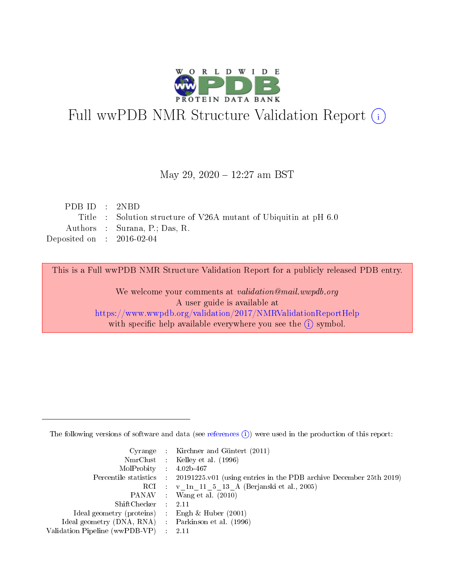

# Full wwPDB NMR Structure Validation Report (i)

## May 29, 2020 - 12:27 am BST

| PDBID : 2NBD                |                                                                  |
|-----------------------------|------------------------------------------------------------------|
|                             | Title : Solution structure of V26A mutant of Ubiquitin at pH 6.0 |
|                             | Authors : Surana, P.; Das, R.                                    |
| Deposited on : $2016-02-04$ |                                                                  |

This is a Full wwPDB NMR Structure Validation Report for a publicly released PDB entry.

We welcome your comments at *validation@mail.wwpdb.org* A user guide is available at <https://www.wwpdb.org/validation/2017/NMRValidationReportHelp> with specific help available everywhere you see the  $(i)$  symbol.

The following versions of software and data (see [references](https://www.wwpdb.org/validation/2017/NMRValidationReportHelp#references)  $(1)$ ) were used in the production of this report:

|                                                    |                               | Cyrange : Kirchner and Güntert $(2011)$                                |
|----------------------------------------------------|-------------------------------|------------------------------------------------------------------------|
|                                                    |                               | NmrClust : Kelley et al. (1996)                                        |
| $MolProbability$ 4.02b-467                         |                               |                                                                        |
| Percentile statistics :                            |                               | $20191225$ , v01 (using entries in the PDB archive December 25th 2019) |
|                                                    |                               | RCI : v 1n 11 5 13 A (Berjanski et al., 2005)                          |
|                                                    |                               | PANAV : Wang et al. (2010)                                             |
| $ShiftChecker$ :                                   |                               | -2.11                                                                  |
| Ideal geometry (proteins) : Engh $\&$ Huber (2001) |                               |                                                                        |
| Ideal geometry (DNA, RNA) Parkinson et al. (1996)  |                               |                                                                        |
| Validation Pipeline (wwPDB-VP)                     | $\mathcal{A}^{\mathcal{A}}$ . | - 2.11                                                                 |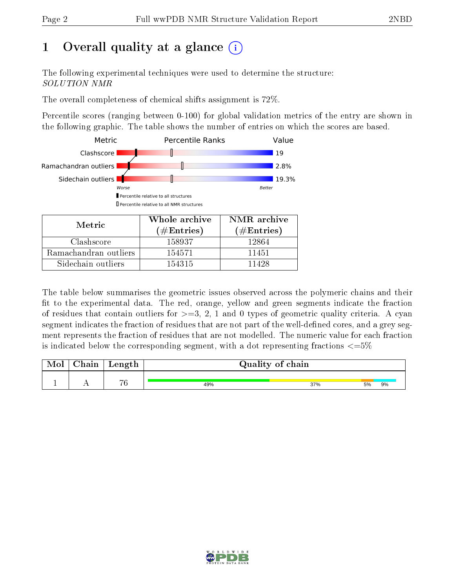# 1 [O](https://www.wwpdb.org/validation/2017/NMRValidationReportHelp#overall_quality)verall quality at a glance  $(i)$

The following experimental techniques were used to determine the structure: SOLUTION NMR

The overall completeness of chemical shifts assignment is 72%.

Percentile scores (ranging between 0-100) for global validation metrics of the entry are shown in the following graphic. The table shows the number of entries on which the scores are based.



| Metric                | <u>oo nong ang ma</u><br>$(\#\text{Entries})$ | $\pm$ , $\pm$ , $\pm$ , $\pm$ , $\pm$ , $\pm$ , $\pm$ , $\pm$ , $\pm$ , $\pm$ , $\pm$ , $\pm$ , $\pm$ , $\pm$ , $\pm$ , $\pm$ , $\pm$ , $\pm$ , $\pm$ , $\pm$ , $\pm$ , $\pm$ , $\pm$ , $\pm$ , $\pm$ , $\pm$ , $\pm$ , $\pm$ , $\pm$ , $\pm$ , $\pm$ , $\pm$<br>$(\#Entries)$ |
|-----------------------|-----------------------------------------------|--------------------------------------------------------------------------------------------------------------------------------------------------------------------------------------------------------------------------------------------------------------------------------|
| Clashscore            | 158937                                        | 12864                                                                                                                                                                                                                                                                          |
| Ramachandran outliers | 154571                                        | 11451                                                                                                                                                                                                                                                                          |
| Sidechain outliers    | 154315                                        | 11428                                                                                                                                                                                                                                                                          |

The table below summarises the geometric issues observed across the polymeric chains and their fit to the experimental data. The red, orange, yellow and green segments indicate the fraction of residues that contain outliers for  $>=3, 2, 1$  and 0 types of geometric quality criteria. A cyan segment indicates the fraction of residues that are not part of the well-defined cores, and a grey segment represents the fraction of residues that are not modelled. The numeric value for each fraction is indicated below the corresponding segment, with a dot representing fractions  $\epsilon = 5\%$ 

| Mol | ${\bf Chain}$ | Length | Quality of chain |     |    |    |  |  |
|-----|---------------|--------|------------------|-----|----|----|--|--|
|     |               | 76     | 49%              | 37% | 5% | 9% |  |  |

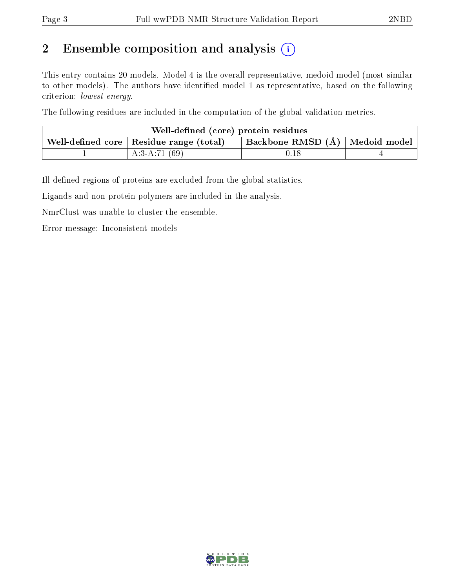# 2 Ensemble composition and analysis  $(i)$

This entry contains 20 models. Model 4 is the overall representative, medoid model (most similar to other models). The authors have identified model 1 as representative, based on the following criterion: lowest energy.

The following residues are included in the computation of the global validation metrics.

| Well-defined (core) protein residues |                                                         |                                    |  |  |  |
|--------------------------------------|---------------------------------------------------------|------------------------------------|--|--|--|
|                                      | . Well-defined core $\mid$ Residue range (total) $\mid$ | Backbone RMSD $(A)$   Medoid model |  |  |  |
|                                      | A:3-A:71 $(69)$                                         | $0.18\,$                           |  |  |  |

Ill-defined regions of proteins are excluded from the global statistics.

Ligands and non-protein polymers are included in the analysis.

NmrClust was unable to cluster the ensemble.

Error message: Inconsistent models

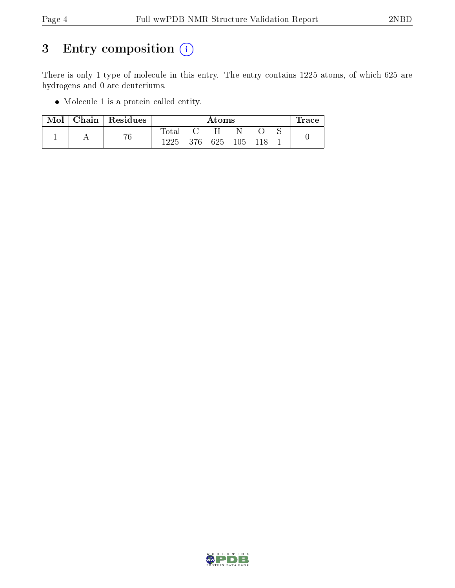# 3 Entry composition (i)

There is only 1 type of molecule in this entry. The entry contains 1225 atoms, of which 625 are hydrogens and 0 are deuteriums.

Molecule 1 is a protein called entity.

| Mol | Chain   $Residues$ | Atoms       |       |     |       |  | race |  |
|-----|--------------------|-------------|-------|-----|-------|--|------|--|
|     |                    | $\rm Total$ |       | H   |       |  |      |  |
|     | 76                 | 1225        | - 376 | 625 | - 105 |  |      |  |

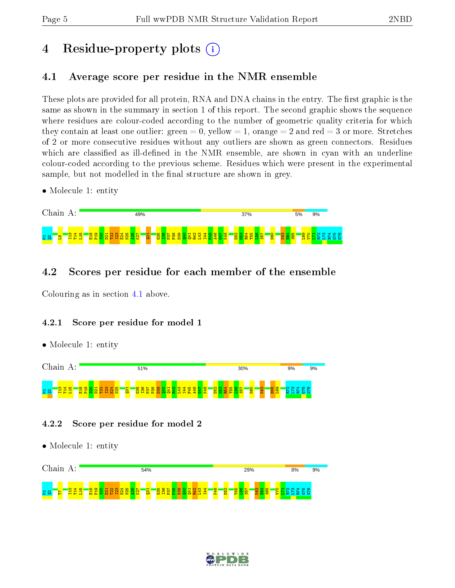# 4 Residue-property plots  $\binom{1}{1}$

# <span id="page-4-0"></span>4.1 Average score per residue in the NMR ensemble

These plots are provided for all protein, RNA and DNA chains in the entry. The first graphic is the same as shown in the summary in section 1 of this report. The second graphic shows the sequence where residues are colour-coded according to the number of geometric quality criteria for which they contain at least one outlier: green  $= 0$ , yellow  $= 1$ , orange  $= 2$  and red  $= 3$  or more. Stretches of 2 or more consecutive residues without any outliers are shown as green connectors. Residues which are classified as ill-defined in the NMR ensemble, are shown in cyan with an underline colour-coded according to the previous scheme. Residues which were present in the experimental sample, but not modelled in the final structure are shown in grey.

• Molecule 1: entity



# 4.2 Scores per residue for each member of the ensemble

Colouring as in section [4.1](#page-4-0) above.

## 4.2.1 Score per residue for model 1

• Molecule 1: entity



## 4.2.2 Score per residue for model 2



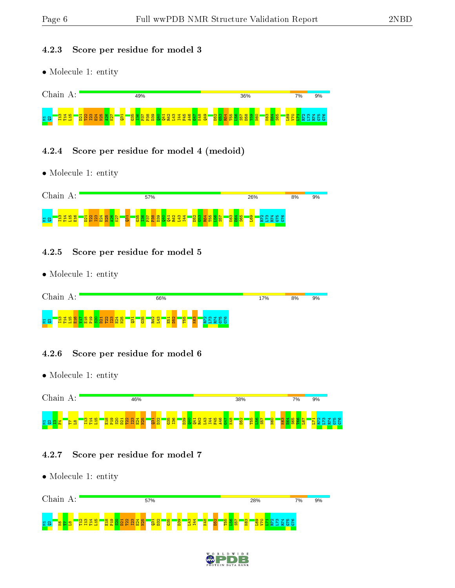#### 4.2.3 Score per residue for model 3

• Molecule 1: entity



### 4.2.4 Score per residue for model 4 (medoid)

• Molecule 1: entity



#### 4.2.5 Score per residue for model 5

• Molecule 1: entity

| Chain<br>А:                                                                                             | 17%                                                                                             | 8%<br>9% |  |
|---------------------------------------------------------------------------------------------------------|-------------------------------------------------------------------------------------------------|----------|--|
| $\mathbf{H}$<br><b>CH 10</b><br>ம<br>ത<br>$\sim$<br>m<br>불음<br>2.<br>м<br>р.<br>н<br>н<br>m<br>. .<br>÷ | <b>B</b><br><b>T55</b><br><b>85</b><br>R42<br>L43<br><b>E51</b><br>က္<br>ന<br>ം<br>$\sim$<br>÷. |          |  |

## 4.2.6 Score per residue for model 6

• Molecule 1: entity



#### 4.2.7 Score per residue for model 7



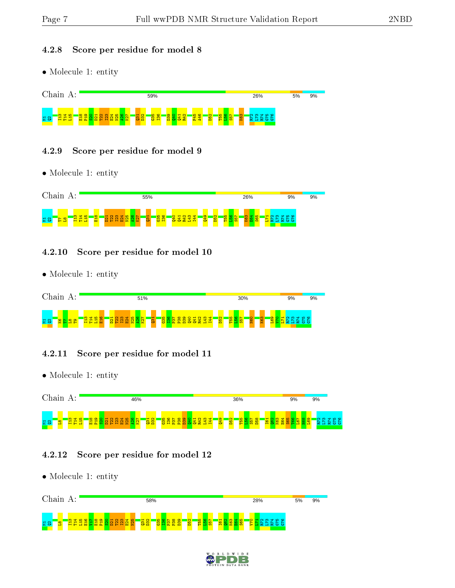#### 4.2.8 Score per residue for model 8

• Molecule 1: entity



### 4.2.9 Score per residue for model 9

• Molecule 1: entity



#### 4.2.10 Score per residue for model 10

• Molecule 1: entity



## 4.2.11 Score per residue for model 11

• Molecule 1: entity



#### 4.2.12 Score per residue for model 12



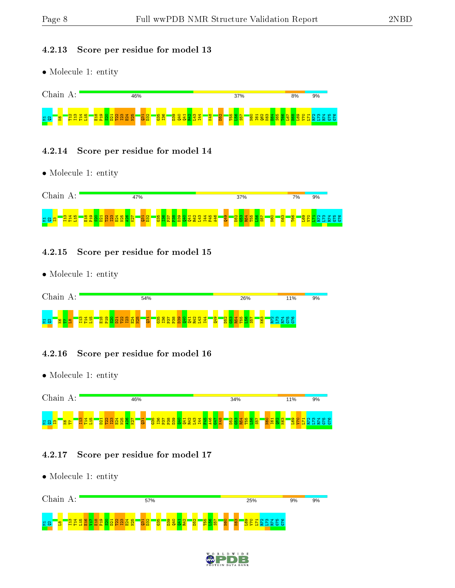#### 4.2.13 Score per residue for model 13

• Molecule 1: entity



### 4.2.14 Score per residue for model 14

• Molecule 1: entity



### 4.2.15 Score per residue for model 15

• Molecule 1: entity



## 4.2.16 Score per residue for model 16

• Molecule 1: entity



#### 4.2.17 Score per residue for model 17



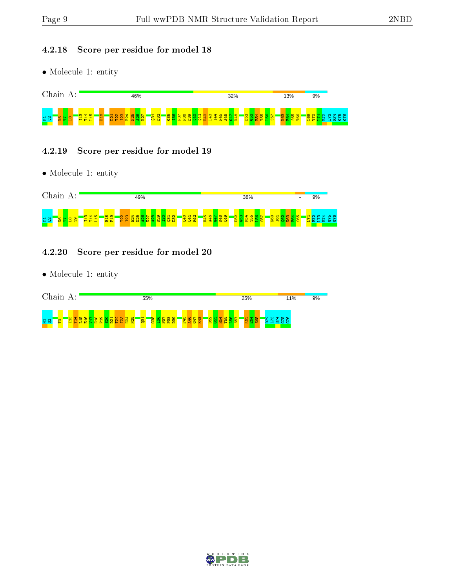### 4.2.18 Score per residue for model 18

• Molecule 1: entity



#### 4.2.19 Score per residue for model 19

• Molecule 1: entity



#### 4.2.20 Score per residue for model 20



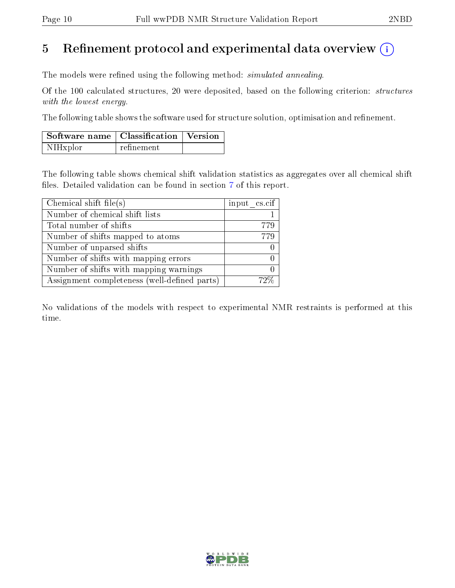# 5 Refinement protocol and experimental data overview  $\binom{1}{k}$

The models were refined using the following method: *simulated annealing*.

Of the 100 calculated structures, 20 were deposited, based on the following criterion: structures with the lowest energy.

The following table shows the software used for structure solution, optimisation and refinement.

| Software name   Classification   Version |            |  |
|------------------------------------------|------------|--|
| NIHxplor                                 | refinement |  |

The following table shows chemical shift validation statistics as aggregates over all chemical shift files. Detailed validation can be found in section [7](#page-16-0) of this report.

| Chemical shift file(s)                       | input $\text{cs.} \text{cif}$ |
|----------------------------------------------|-------------------------------|
| Number of chemical shift lists               |                               |
| Total number of shifts                       | 779                           |
| Number of shifts mapped to atoms             | 779                           |
| Number of unparsed shifts                    |                               |
| Number of shifts with mapping errors         |                               |
| Number of shifts with mapping warnings       |                               |
| Assignment completeness (well-defined parts) |                               |

No validations of the models with respect to experimental NMR restraints is performed at this time.

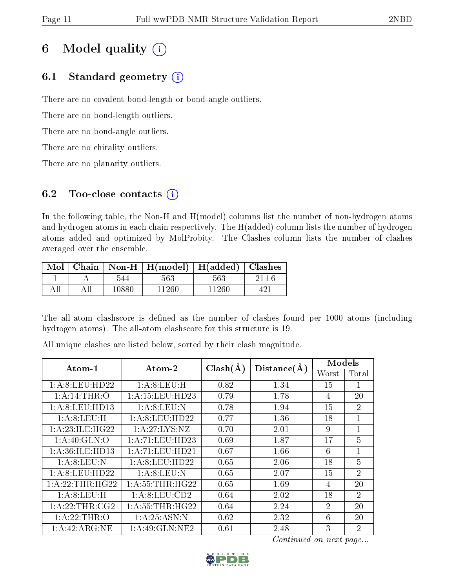# 6 Model quality  $(i)$

# 6.1 Standard geometry  $(i)$

There are no covalent bond-length or bond-angle outliers.

There are no bond-length outliers.

There are no bond-angle outliers.

There are no chirality outliers.

There are no planarity outliers.

# 6.2 Too-close contacts  $(i)$

In the following table, the Non-H and H(model) columns list the number of non-hydrogen atoms and hydrogen atoms in each chain respectively. The H(added) column lists the number of hydrogen atoms added and optimized by MolProbity. The Clashes column lists the number of clashes averaged over the ensemble.

| $\text{Mol}$ |       | Chain   Non-H   H(model)   H(added)   Clashes |       |  |
|--------------|-------|-----------------------------------------------|-------|--|
|              | 544   | 563                                           | 563   |  |
|              | 10880 | 11260                                         | 11260 |  |

The all-atom clashscore is defined as the number of clashes found per 1000 atoms (including hydrogen atoms). The all-atom clashscore for this structure is 19.

| $\rm{Atom\text{-}1}$ | $\boldsymbol{\mathrm{Atom}\text{-}2}$ | $Clash(\AA)$ | Distance(A) | Models                      |                |
|----------------------|---------------------------------------|--------------|-------------|-----------------------------|----------------|
|                      |                                       |              |             | Worst                       | Total          |
| 1: A:8: LEU: HD22    | 1: A:8: LEU:H                         | 0.82         | 1.34        | 15                          | 1              |
| 1:A:14:THR:O         | 1: A: 15: LEU: HD23                   | 0.79         | 1.78        | $\overline{4}$              | 20             |
| 1: A:8: LEU: HD13    | 1: A:8: LEU: N                        | 0.78         | 1.94        | 15                          | $\overline{2}$ |
| 1:A:8:LEU:H          | 1: A:8: LEU: HD22                     | 0.77         | 1.36        | 18                          | $\mathbf{1}$   |
| 1: A:23: ILE: HG22   | 1: A:27: LYS:NZ                       | 0.70         | 2.01        | 9                           | $\mathbf{1}$   |
| 1: A:40: GLN:O       | 1:A:71:LEU:HD23                       | 0.69         | 1.87        | 17                          | $\overline{5}$ |
| 1: A:36: ILE: HD13   | 1: A: 71: LEU: HD21                   | 0.67         | 1.66        | 6                           | 1              |
| 1: A:8: LEU: N       | 1: A:8: LEU: HD22                     | 0.65         | 2.06        | 18                          | $\overline{5}$ |
| 1: A:8: LEU: HD22    | 1: A:8: LEU: N                        | 0.65         | 2.07        | 15                          | $\overline{2}$ |
| 1:A:22:THR:HG22      | 1: A:55:THR:HG22                      | 0.65         | 1.69        | 4                           | 20             |
| 1: A:8: LEU:H        | 1: A:8: LEU:CD2                       | 0.64         | 2.02        | 18                          | $\overline{2}$ |
| 1: A:22:THR:CG2      | 1: A: 55: THR: HG22                   | 0.64         | 2.24        | $\mathcal{D}_{\mathcal{L}}$ | 20             |
| 1: A:22:THR:O        | 1: A:25: ASN: N                       | 0.62         | 2.32        | 6                           | 20             |
| 1: A:42: ARG: NE     | 1: A:49: GLN: NE2                     | 0.61         | 2.48        | 3                           | $\overline{2}$ |

All unique clashes are listed below, sorted by their clash magnitude.

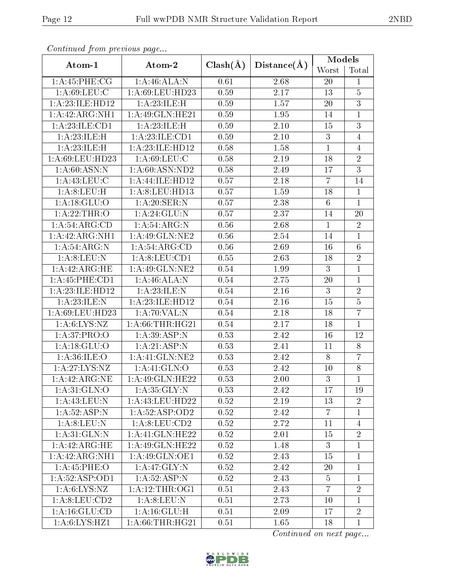| Continued from previous page            |                               |              |             | Models          |                |  |
|-----------------------------------------|-------------------------------|--------------|-------------|-----------------|----------------|--|
| Atom-1                                  | Atom-2                        | $Clash(\AA)$ | Distance(A) | Worst           | Total          |  |
| 1: A:45:PHE:CG                          | 1:A:46:ALA:N                  | 0.61         | 2.68        | 20              | $\mathbf{1}$   |  |
| 1: A:69:LEU:C                           | 1: A:69: LEU: HD23            | 0.59         | 2.17        | 13              | $\overline{5}$ |  |
| $1:\overline{A}:23:\overline{ILE:HD12}$ | 1:A:23:ILE:H                  | 0.59         | 1.57        | 20              | $\overline{3}$ |  |
| 1:A:42:ARG:NH1                          | 1: A:49: GLN: HE21            | 0.59         | 1.95        | 14              | $\mathbf{1}$   |  |
| 1:A:23:ILE:CD1                          | 1:A:23:ILE:H                  | 0.59         | $2.10\,$    | 15              | 3              |  |
| 1:A:23:ILE:H                            | 1:A:23:ILE:CD1                | 0.59         | 2.10        | 3               | $\overline{4}$ |  |
| 1:A:23:ILE:H                            | $1:$ A:23:ILE:HD12            | 0.58         | 1.58        | $\mathbf{1}$    | 4              |  |
| 1:A:69:LEU:HD23                         | 1: A:69: LEU: C               | 0.58         | 2.19        | 18              | $\overline{2}$ |  |
| 1: A:60: ASN:N                          | $1: A:60: \overline{ASN:ND2}$ | 0.58         | 2.49        | 17              | $\overline{3}$ |  |
| 1: A:43:LEU: C                          | 1:A:44:ILE:HD12               | 0.57         | 2.18        | $\overline{7}$  | 14             |  |
| 1: A:8: LEU:H                           | 1: A:8: LEU: HD13             | 0.57         | 1.59        | 18              | $\mathbf{1}$   |  |
| 1: A:18: GLU:O                          | 1: A:20: SER: N               | 0.57         | 2.38        | $6\phantom{.}6$ | $\mathbf{1}$   |  |
| 1: A:22:THR:O                           | 1: A:24: GLU:N                | 0.57         | 2.37        | 14              | 20             |  |
| 1:A:54:ARG:CD                           | 1: A:54: ARG:N                | 0.56         | 2.68        | $\mathbf{1}$    | $\overline{2}$ |  |
| 1:A:42:ARG:NH1                          | $1:$ A:49:GLN:NE2             | 0.56         | 2.54        | 14              | $\mathbf 1$    |  |
| 1: A:54: ARG: N                         | 1: A:54: ARG:CD               | 0.56         | 2.69        | 16              | 6              |  |
| 1: A:8: LEU: N                          | 1: A:8: LEU: CD1              | 0.55         | 2.63        | 18              | $\overline{2}$ |  |
| 1:A:42:ARG:HE                           | $1:$ A:49:GLN:NE2             | 0.54         | 1.99        | 3               | $\overline{1}$ |  |
| 1:A:45:PHE:CD1                          | 1:A:46:ALA:N                  | 0.54         | 2.75        | 20              | $\mathbf{1}$   |  |
| 1:A:23:ILE:HD12                         | 1:A:23:ILE:N                  | 0.54         | 2.16        | 3               | $\overline{2}$ |  |
| 1:A:23:ILE:N                            | 1:A:23:ILE:HD12               | 0.54         | 2.16        | 15              | $\overline{5}$ |  |
| 1: A:69:LEU:HD23                        | 1:A:70:VAL:N                  | 0.54         | 2.18        | 18              | $\overline{7}$ |  |
| 1: A:6: LYS: NZ                         | 1: A:66:THR:HG21              | 0.54         | 2.17        | 18              | $\mathbf{1}$   |  |
| 1: A:37: PRO:O                          | 1: A:39: ASP: N               | 0.53         | 2.42        | 16              | 12             |  |
| 1: A:18: GLU:O                          | 1:A:21:ASP:N                  | 0.53         | 2.41        | 11              | 8              |  |
| 1: A:36: ILE: O                         | 1: A: 41: GLN: NE2            | 0.53         | 2.42        | 8               | $\overline{7}$ |  |
| 1:A:27:LYS:NZ                           | 1:A:41:GLN:O                  | 0.53         | 2.42        | 10              | 8              |  |
| $1:A:42:ARG:NE$                         | $1:$ A:49:GLN:HE22            | 0.53         | $2.00\,$    | $3\phantom{.0}$ | $\overline{1}$ |  |
| 1: A:31: GLN:O                          | 1: A:35: GLY:N                | 0.53         | 2.42        | 17              | 19             |  |
| 1:A:43:LEU:N                            | 1:A:43:LEU:HD22               | 0.52         | 2.19        | 13              | $\overline{2}$ |  |
| 1: A:52: ASP: N                         | 1: A:52: ASP:OD2              | 0.52         | 2.42        | $\overline{7}$  | $\mathbf{1}$   |  |
| 1: A:8: LEU: N                          | 1: A:8: LEU: CD2              | 0.52         | 2.72        | 11              | $\overline{4}$ |  |
| 1: A:31: GLN:N                          | 1: A:41: GLN: HE22            | 0.52         | 2.01        | 15              | $\overline{2}$ |  |
| 1:A:42:ARG:HE                           | 1: A:49: GLN: HE22            | 0.52         | 1.48        | 3               | 1              |  |
| 1:A:42:ARG:NH1                          | 1:A:49:GLN:OE1                | 0.52         | 2.43        | 15              | $\mathbf{1}$   |  |
| 1:A:45:PHE:O                            | 1:A:47:GLY:N                  | 0.52         | 2.42        | 20              | $\mathbf{1}$   |  |
| 1:A:52:ASP:OD1                          | 1: A:52: ASP: N               | 0.52         | 2.43        | $\overline{5}$  | $\mathbf{1}$   |  |
| 1: A:6: LYS: NZ                         | 1: A:12:THR:OG1               | 0.51         | 2.43        | $\overline{7}$  | $\overline{2}$ |  |
| 1:A:8:LEU:CD2                           | 1: A:8: LEU: N                | 0.51         | 2.73        | 10              | $\mathbf{1}$   |  |
| 1: A: 16: GLU: CD                       | 1: A: 16: GLU: H              | 0.51         | 2.09        | 17              | $\overline{2}$ |  |
| 1: A:6: LYS: HZ1                        | 1: A:66:THR:HG21              | 0.51         | 1.65        | 18              | $\mathbf{1}$   |  |

Continued from previous page...

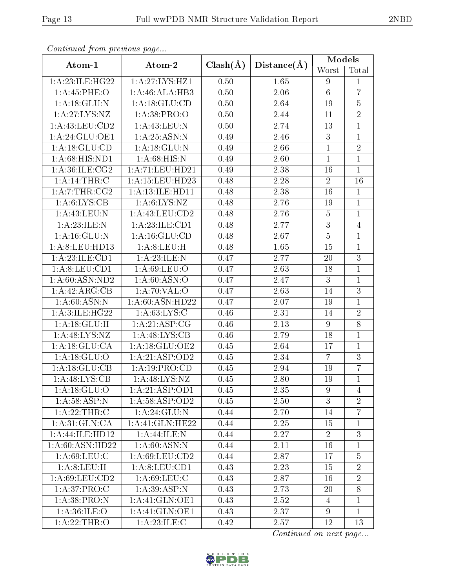| Continued from previous page         |                           |              |                   | Models          |                |  |
|--------------------------------------|---------------------------|--------------|-------------------|-----------------|----------------|--|
| Atom-1                               | Atom-2                    | $Clash(\AA)$ | Distance(A)       | Worst           | Total          |  |
| 1:A:23:ILE:HG22                      | 1:A:27:LYS:HZ1            | 0.50         | 1.65              | 9               | $\mathbf{1}$   |  |
| 1: A:45:PHE:O                        | 1:A:46:ALA:HB3            | 0.50         | 2.06              | $6\phantom{.}6$ | $\overline{7}$ |  |
| 1: A:18: GLU:N                       | 1: A:18: GLU:CD           | 0.50         | 2.64              | 19              | $\overline{5}$ |  |
| 1: A:27:LYS:NZ                       | 1:A:38:PRO:O              | 0.50         | 2.44              | 11              | $\overline{2}$ |  |
| 1:A:43:LEU:CD2                       | 1: A: 43: LEU: N          | 0.50         | 2.74              | 13              | $\mathbf{1}$   |  |
| 1: A:24: GLU:OE1                     | 1: A:25: ASN: N           | 0.49         | 2.46              | 3               | $\mathbf{1}$   |  |
| 1:A:18:GLU:CD                        | 1: A:18: GLU:N            | 0.49         | 2.66              | $\mathbf{1}$    | $\overline{2}$ |  |
| 1: A:68: HIS:ND1                     | 1: A:68:HIS:N             | 0.49         | 2.60              | $\mathbf{1}$    | $\mathbf{1}$   |  |
| 1: A:36: ILE: CG2                    | 1: A:71: LEU: HD21        | 0.49         | 2.38              | 16              | $\mathbf{1}$   |  |
| 1: A:14:THR:C                        | 1:A:15:LEU:HD23           | 0.48         | 2.28              | $\overline{2}$  | 16             |  |
| 1:A:7:THR:CG2                        | 1: A: 13: ILE: HD11       | 0.48         | 2.38              | 16              | $\mathbf{1}$   |  |
| 1: A:6:LYS:CB                        | 1: A:6: LYS: NZ           | 0.48         | 2.76              | 19              | $\mathbf{1}$   |  |
| 1: A:43: LEU: N                      | 1: A: 43: LEU: CD2        | 0.48         | 2.76              | $\overline{5}$  | $\mathbf{1}$   |  |
| 1:A:23:ILE:N                         | 1: A:23: ILE: CD1         | 0.48         | 2.77              | 3               | $\overline{4}$ |  |
| 1: A:16: GLU:N                       | 1: A: 16: GLU: CD         | 0.48         | 2.67              | $\overline{5}$  | $\mathbf 1$    |  |
| 1:A:8:LEU:HD13                       | 1:A:8:LEU:H               | 0.48         | $\overline{1.65}$ | 15              | $\mathbf{1}$   |  |
| 1:A:23:ILE:CD1                       | 1:A:23:ILE:N              | 0.47         | 2.77              | 20              | 3              |  |
| 1:A:8:LEU:CD1                        | 1: A:69: LEU:O            | 0.47         | 2.63              | 18              | $\overline{1}$ |  |
| 1: A:60: ASN:ND2                     | 1: A:60: ASN:O            | 0.47         | 2.47              | 3               | $\mathbf{1}$   |  |
| 1:A:42:ARG:CB                        | 1:A:70:VAL:O              | 0.47         | 2.63              | 14              | 3              |  |
| 1: A:60: ASN: N                      | 1:A:60:ASN:HD22           | 0.47         | 2.07              | 19              | $\mathbf 1$    |  |
| 1:A:3:ILE:HG22                       | 1: A:63: LYS:C            | 0.46         | 2.31              | 14              | $\overline{2}$ |  |
| 1: A:18: GLU:H                       | 1: A:21:ASP:CG            | 0.46         | 2.13              | 9               | $\overline{8}$ |  |
| 1:A:48:LYS:NZ                        | 1: A:48: LYS: CB          | 0.46         | 2.79              | 18              | $\mathbf 1$    |  |
| 1: A:18: GLU:CA                      | 1: A:18: GLU:OE2          | 0.45         | 2.64              | 17              | $\mathbf 1$    |  |
| 1:A:18:GLU:O                         | 1:A:21:ASP:OD2            | 0.45         | 2.34              | $\overline{7}$  | 3              |  |
| 1:A:18:GLU:CB                        | 1:A:19:PRO:CD             | 0.45         | 2.94              | 19              | $\overline{7}$ |  |
| 1: A:48: LYS: CB                     | 1: A:48: LYS: NZ          | 0.45         | 2.80              | 19              | $\mathbf{1}$   |  |
| 1:A:18:GLU:O                         | 1:A:21:ASP:OD1            | 0.45         | 2.35              | 9               | 4              |  |
| 1: A:58:ASP:N                        | 1: A:58: ASP:OD2          | 0.45         | 2.50              | 3               | $\overline{2}$ |  |
| 1:A:22:THR:C                         | 1: A:24: GLU:N            | 0.44         | 2.70              | 14              | $\overline{7}$ |  |
| 1: A:31: GLN:CA                      | 1:A:41:GLN:HE22           | 0.44         | 2.25              | 15              | $\mathbf{1}$   |  |
| 1:A:44:ILE:HD12                      | 1:A:44:ILE:N              | 0.44         | 2.27              | $\overline{2}$  | $\overline{3}$ |  |
| 1: A:60: ASN:HD22                    | $1:A:60:ASN:\overline{N}$ | 0.44         | 2.11              | 16              | 1              |  |
| $1: A:69: \overline{\textrm{LEU:C}}$ | 1:A:69:LEU:CD2            | 0.44         | 2.87              | 17              | $\overline{5}$ |  |
| 1: A:8: LEU:H                        | 1: A:8: LEU: CD1          | 0.43         | 2.23              | 15              | $\overline{2}$ |  |
| 1:A:69:LEU:CD2                       | 1: A:69: LEU: C           | 0.43         | 2.87              | 16              | $\overline{2}$ |  |
| 1:A:37:PRO:C                         | 1:A:39:ASP:N              | 0.43         | 2.73              | 20              | 8              |  |
| 1: A: 38: PRO: N                     | 1:A:41:GLN:OE1            | 0.43         | 2.52              | $\overline{4}$  | $\mathbf{1}$   |  |
| 1: A:36: ILE: O                      | 1:A:41:GLN:OE1            | 0.43         | 2.37              | 9               | 1              |  |
| 1: A:22:THR:O                        | 1: A: 23: ILE:C           | 0.42         | 2.57              | 12              | 13             |  |

Continued from previous page...

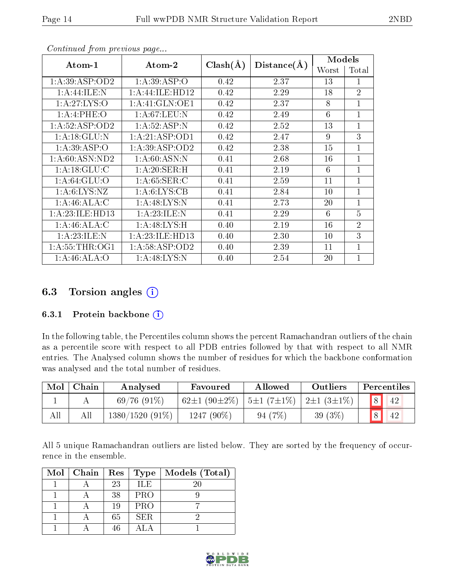|--|

|                  |                     |              |             | Models |                |
|------------------|---------------------|--------------|-------------|--------|----------------|
| Atom-1           | Atom-2              | $Clash(\AA)$ | Distance(A) | Worst  | Total          |
| 1:A:39:ASP:OD2   | 1: A:39: ASP:O      | 0.42         | 2.37        | 13     | 1              |
| 1:A:44:ILE:N     | 1: A: 44: ILE: HD12 | 0.42         | 2.29        | 18     | $\overline{2}$ |
| 1:A:27:LYS:O     | 1: A:41: GLN:OE1    | 0.42         | 2.37        | 8      | $\overline{1}$ |
| 1:A:4:PHE:O      | 1: A:67:LEU:N       | 0.42         | 2.49        | 6      | $\overline{1}$ |
| 1:A:52:ASP:OD2   | 1:A:52:ASP:N        | 0.42         | 2.52        | 13     | $\overline{1}$ |
| 1: A:18: GLU:N   | 1:A:21:ASP:OD1      | 0.42         | 2.47        | 9      | 3              |
| 1:A:39:ASP:O     | 1:A:39:ASP:OD2      | 0.42         | 2.38        | 15     | $\overline{1}$ |
| 1: A:60: ASN:ND2 | 1: A:60: ASN:N      | 0.41         | 2.68        | 16     | $\overline{1}$ |
| 1: A:18: GLU: C  | 1: A:20: SER:H      | 0.41         | 2.19        | 6      | $\overline{1}$ |
| 1: A:64: GLU:O   | 1: A:65:SER:C       | 0.41         | 2.59        | 11     | $\overline{1}$ |
| 1: A:6: LYS: NZ  | 1: A:6: LYS: CB     | 0.41         | 2.84        | 10     | $\overline{1}$ |
| 1: A:46: ALA: C  | 1: A:48: LYS:N      | 0.41         | 2.73        | 20     | $\overline{1}$ |
| 1:A:23:ILE:HD13  | 1:A:23:ILE:N        | 0.41         | 2.29        | 6      | 5              |
| 1:A:46:ALA:C     | 1:A:48:LYS:H        | 0.40         | 2.19        | 16     | $\overline{2}$ |
| 1:A:23:ILE:N     | 1: A:23: ILE: HD13  | 0.40         | 2.30        | 10     | 3              |
| 1: A:55:THR:OG1  | 1: A:58:ASP:OD2     | 0.40         | 2.39        | 11     | $\overline{1}$ |
| 1: A:46: ALA:O   | 1: A:48: LYS:N      | 0.40         | 2.54        | 20     | 1              |

Continued from previous page...

# 6.3 Torsion angles (i)

#### 6.3.1 Protein backbone  $(i)$

In the following table, the Percentiles column shows the percent Ramachandran outliers of the chain as a percentile score with respect to all PDB entries followed by that with respect to all NMR entries. The Analysed column shows the number of residues for which the backbone conformation was analysed and the total number of residues.

| Mol | Chain | Analysed          | Favoured                  | Allowed                                            | Outliers   |   | Percentiles |
|-----|-------|-------------------|---------------------------|----------------------------------------------------|------------|---|-------------|
|     |       | $69/76(91\%)$     | 62 $\pm$ 1 (90 $\pm$ 2\%) | $\pm 1$ (7 $\pm 1\%$ ) $\pm 2\pm 1$ (3 $\pm 1\%$ ) |            | 8 | 42          |
| All |       | $1380/1520(91\%)$ | 1247 $(90\%)$             | 94(7%)                                             | 39 $(3\%)$ |   | 42          |

All 5 unique Ramachandran outliers are listed below. They are sorted by the frequency of occurrence in the ensemble.

| $Mol$   Chain | $\mathbf{Res}$ | Type       | Models (Total) |
|---------------|----------------|------------|----------------|
|               | 23             | <b>ILE</b> | 20             |
|               | 38             | <b>PRO</b> |                |
|               | 19             | PRO        |                |
|               | 65             | SER.       |                |
|               | 46             |            |                |

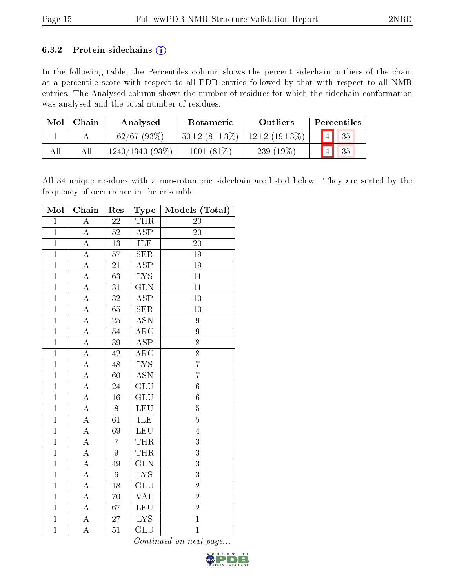#### 6.3.2 Protein sidechains  $(i)$

In the following table, the Percentiles column shows the percent sidechain outliers of the chain as a percentile score with respect to all PDB entries followed by that with respect to all NMR entries. The Analysed column shows the number of residues for which the sidechain conformation was analysed and the total number of residues.

| Mol | Chain | Analysed       | Rotameric          | Outliers           |                       | Percentiles |  |
|-----|-------|----------------|--------------------|--------------------|-----------------------|-------------|--|
|     |       | $62/67$ (93\%) | $50\pm2(81\pm3\%)$ | $12\pm2(19\pm3\%)$ | $\boxed{4}$           | 35          |  |
| All |       | 1240/1340(93%) | $1001(81\%)$       | 239 $(19\%)$       | $\vert 4 \vert \vert$ | 35          |  |

All 34 unique residues with a non-rotameric sidechain are listed below. They are sorted by the frequency of occurrence in the ensemble.

| Mol            | Chain              | Res             | Type                      | Models (Total)  |
|----------------|--------------------|-----------------|---------------------------|-----------------|
| $\overline{1}$ | $\overline{A}$     | $\overline{22}$ | THR                       | $\overline{20}$ |
| $\mathbf{1}$   | $\boldsymbol{A}$   | 52              | <b>ASP</b>                | 20              |
| $\overline{1}$ | $\overline{\rm A}$ | $\overline{13}$ | <b>ILE</b>                | 20              |
| $\mathbf{1}$   | $\overline{A}$     | $\overline{57}$ | <b>SER</b>                | $19\,$          |
| $\overline{1}$ | $\overline{\rm A}$ | $\overline{21}$ | $\overline{\text{ASP}}$   | $\overline{19}$ |
| $\overline{1}$ | $\overline{A}$     | $\overline{63}$ | $\overline{\text{LYS}}$   | $\overline{11}$ |
| $\overline{1}$ | A                  | 31              | $\overline{\text{GLN}}$   | 11              |
| $\overline{1}$ | $\overline{\rm A}$ | $\overline{32}$ | $\overline{\text{ASP}}$   | $\overline{10}$ |
| $\overline{1}$ | $\overline{\rm A}$ | 65              | SER                       | 10              |
| $\mathbf{1}$   | $\overline{A}$     | 25              | $\overline{\mathrm{ASN}}$ | 9               |
| $\overline{1}$ | $\overline{\rm A}$ | $\overline{54}$ | $\overline{\rm{ARG}}$     | $\overline{9}$  |
| $\mathbf{1}$   | $\boldsymbol{A}$   | 39              | <b>ASP</b>                | 8               |
| $\overline{1}$ | $\overline{A}$     | $\overline{42}$ | $\overline{\rm{ARG}}$     | $\overline{8}$  |
| $\mathbf{1}$   | $\overline{A}$     | 48              | <b>LYS</b>                | $\overline{7}$  |
| $\overline{1}$ | $\overline{\rm A}$ | $\overline{60}$ | $\overline{\mathrm{ASN}}$ | $\overline{7}$  |
| $\mathbf{1}$   | $\overline{A}$     | 24              | $\overline{\text{GLU}}$   | $\overline{6}$  |
| $\overline{1}$ | A                  | 16              | GLU                       | $\sqrt{6}$      |
| $\overline{1}$ | $\overline{A}$     | $\overline{8}$  | <b>LEU</b>                | $\overline{5}$  |
| $\overline{1}$ | A                  | $\overline{61}$ | ILE                       | $\overline{5}$  |
| $\mathbf{1}$   | $\overline{\rm A}$ | $\overline{69}$ | $\overline{\text{LEU}}$   | $\overline{4}$  |
| $\overline{1}$ | $\overline{A}$     | $\overline{7}$  | <b>THR</b>                | $\overline{3}$  |
| $\mathbf{1}$   | $\overline{\rm A}$ | 9               | <b>THR</b>                | $\overline{3}$  |
| $\overline{1}$ | $\overline{\rm A}$ | 49              | $\overline{\text{GLN}}$   | $\overline{3}$  |
| $\mathbf{1}$   | $\overline{A}$     | $6\phantom{.}$  | $\overline{\text{LYS}}$   | $\overline{3}$  |
| $\overline{1}$ | $\overline{\rm A}$ | $\overline{18}$ | $\overline{\text{GLU}}$   | $\overline{2}$  |
| $\overline{1}$ | $\overline{A}$     | 70              | <b>VAL</b>                | $\overline{2}$  |
| $\overline{1}$ | A                  | 67              | <b>LEU</b>                | $\overline{2}$  |
| $\overline{1}$ | $\overline{A}$     | $\overline{27}$ | $\overline{\text{LYS}}$   | $\overline{1}$  |
| $\overline{1}$ | $\overline{\rm A}$ | $\overline{51}$ | $\overline{\text{GLU}}$   | $\overline{1}$  |

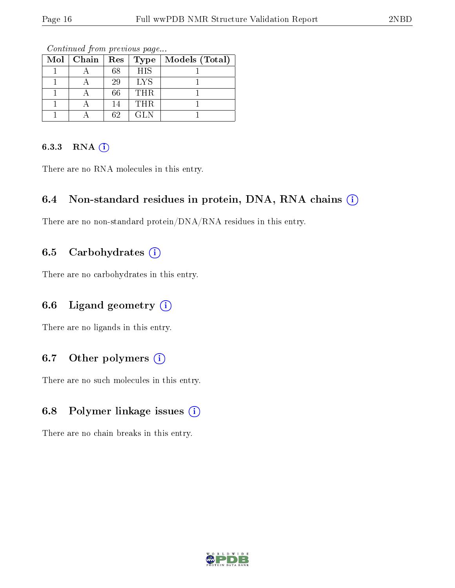| $Mol$   Chain | ${\mathop{\mathrm{Res}}\nolimits}$ | Type       | Models (Total) |
|---------------|------------------------------------|------------|----------------|
|               | 68                                 | <b>HIS</b> |                |
|               | 29                                 | <b>LYS</b> |                |
|               | 66                                 | <b>THR</b> |                |
|               | 14                                 | THR.       |                |
|               | 62                                 | GL N       |                |

Continued from previous page...

## 6.3.3 RNA (i)

There are no RNA molecules in this entry.

## 6.4 Non-standard residues in protein, DNA, RNA chains  $(i)$

There are no non-standard protein/DNA/RNA residues in this entry.

## 6.5 Carbohydrates  $(i)$

There are no carbohydrates in this entry.

## 6.6 Ligand geometry  $(i)$

There are no ligands in this entry.

## 6.7 [O](https://www.wwpdb.org/validation/2017/NMRValidationReportHelp#nonstandard_residues_and_ligands)ther polymers  $(i)$

There are no such molecules in this entry.

## 6.8 Polymer linkage issues  $(i)$

There are no chain breaks in this entry.

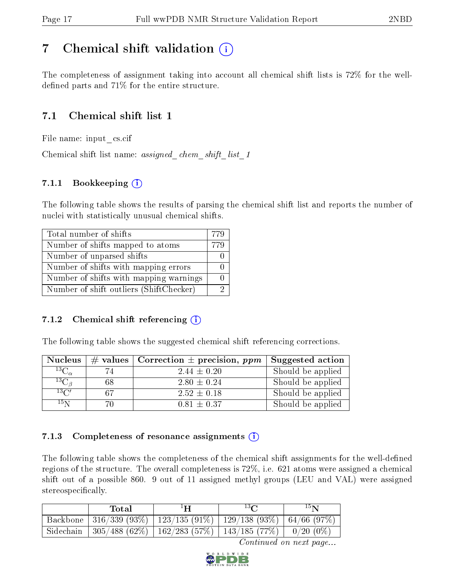# <span id="page-16-0"></span>7 Chemical shift validation  $\left( \begin{array}{c} \overline{1} \end{array} \right)$

The completeness of assignment taking into account all chemical shift lists is 72% for the welldefined parts and  $71\%$  for the entire structure.

# 7.1 Chemical shift list 1

File name: input\_cs.cif

Chemical shift list name: *assigned\_chem\_shift\_list\_1* 

## 7.1.1 Bookkeeping (i)

The following table shows the results of parsing the chemical shift list and reports the number of nuclei with statistically unusual chemical shifts.

| Total number of shifts                  | -779 |
|-----------------------------------------|------|
| Number of shifts mapped to atoms        | 779  |
| Number of unparsed shifts               |      |
| Number of shifts with mapping errors    |      |
| Number of shifts with mapping warnings  |      |
| Number of shift outliers (ShiftChecker) |      |

## 7.1.2 Chemical shift referencing  $(i)$

The following table shows the suggested chemical shift referencing corrections.

| <b>Nucleus</b>      |    | # values   Correction $\pm$ precision, ppm | Suggested action  |
|---------------------|----|--------------------------------------------|-------------------|
| ${}^{13}C_{\alpha}$ | 74 | $2.44 \pm 0.20$                            | Should be applied |
| ${}^{13}C_{\beta}$  | 68 | $2.80 \pm 0.24$                            | Should be applied |
| $13\text{C}$        | 67 | $2.52 \pm 0.18$                            | Should be applied |
| $15\,\mathrm{N}$    | 70 | $0.81 \pm 0.37$                            | Should be applied |

## 7.1.3 Completeness of resonance assignments  $(i)$

The following table shows the completeness of the chemical shift assignments for the well-defined regions of the structure. The overall completeness is 72%, i.e. 621 atoms were assigned a chemical shift out of a possible 860. 9 out of 11 assigned methyl groups (LEU and VAL) were assigned stereospecifically.

| Total | $1\mathbf{H}$ | $13\Omega$                                                             | 15 <sub>N</sub> |
|-------|---------------|------------------------------------------------------------------------|-----------------|
|       |               | Backbone   316/339 (93%)   123/135 (91%)   129/138 (93%)   64/66 (97%) |                 |
|       |               | Sidechain   305/488 (62%)   162/283 (57%)   143/185 (77%)   0/20 (0%)  |                 |

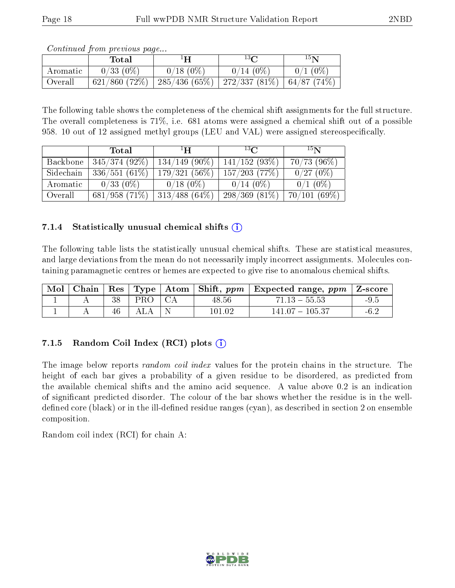| <i>Continued from previous page</i> |  |  |
|-------------------------------------|--|--|
|                                     |  |  |

|          | Total            | $1\mathbf{H}$ | $13\,$ $\cap$    | $15\mathbf{N}$ |
|----------|------------------|---------------|------------------|----------------|
| Aromatic | $0/33(0\%)$      | $0/18(0\%)$   | $0/14(0\%)$      | $0/1$ (0%)     |
| Overall  | $621/860$ (72\%) | 285/436(65%)  | 272/337 $(81\%)$ | 64/87(74%)     |

The following table shows the completeness of the chemical shift assignments for the full structure. The overall completeness is 71%, i.e. 681 atoms were assigned a chemical shift out of a possible 958. 10 out of 12 assigned methyl groups (LEU and VAL) were assigned stereospecifically.

|           | Total           | $^1$ H $^-$      | $^{13}C$         | 15 <sub>N</sub> |
|-----------|-----------------|------------------|------------------|-----------------|
| Backbone  | $345/374(92\%)$ | $134/149$ (90\%) | 141/152(93%)     | $70/73$ (96\%)  |
| Sidechain | 336/551(61%)    | $179/321(56\%)$  | $157/203$ (77\%) | 0/27(0%)        |
| Aromatic  | $0/33(0\%)$     | $0/18(0\%)$      | $0/14(0\%)$      | $0/1$ (0\%)     |
| Overall   | 681/958(71%)    | $313/488(64\%)$  | $298/369(81\%)$  | 70/101(69%)     |

### 7.1.4 Statistically unusual chemical shifts  $(i)$

The following table lists the statistically unusual chemical shifts. These are statistical measures, and large deviations from the mean do not necessarily imply incorrect assignments. Molecules containing paramagnetic centres or hemes are expected to give rise to anomalous chemical shifts.

| Mol |    |     |        | Chain   Res   Type   Atom   Shift, $ppm$   Expected range, $ppm$   Z-score |                                                |
|-----|----|-----|--------|----------------------------------------------------------------------------|------------------------------------------------|
|     | 38 | PRO | 48.56  | $71.13 - 55.53$                                                            | $-9.5$                                         |
|     | 46 |     | 101.02 | $141.07 - 105.37$                                                          | $\mathcal{L}$<br>$\mathbf{0} \cdot \mathbf{0}$ |

## 7.1.5 Random Coil Index  $(RCI)$  plots  $(i)$

The image below reports *random coil index* values for the protein chains in the structure. The height of each bar gives a probability of a given residue to be disordered, as predicted from the available chemical shifts and the amino acid sequence. A value above 0.2 is an indication of signicant predicted disorder. The colour of the bar shows whether the residue is in the welldefined core (black) or in the ill-defined residue ranges (cyan), as described in section 2 on ensemble composition.

Random coil index (RCI) for chain A: